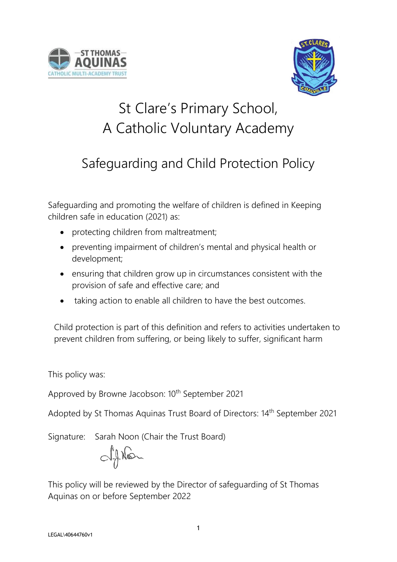



# St Clare's Primary School, A Catholic Voluntary Academy

# Safeguarding and Child Protection Policy

Safeguarding and promoting the welfare of children is defined in Keeping children safe in education (2021) as:

- protecting children from maltreatment;
- preventing impairment of children's mental and physical health or development;
- ensuring that children grow up in circumstances consistent with the provision of safe and effective care; and
- taking action to enable all children to have the best outcomes.

Child protection is part of this definition and refers to activities undertaken to prevent children from suffering, or being likely to suffer, significant harm

This policy was:

Approved by Browne Jacobson: 10<sup>th</sup> September 2021

Adopted by St Thomas Aquinas Trust Board of Directors: 14<sup>th</sup> September 2021

Signature: Sarah Noon (Chair the Trust Board)

Oftion

This policy will be reviewed by the Director of safeguarding of St Thomas Aquinas on or before September 2022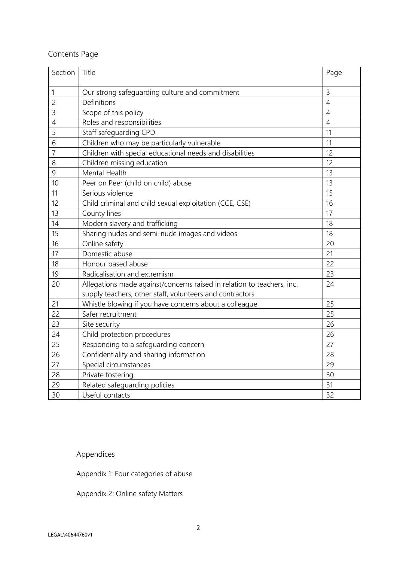# Contents Page

| Section        | Title                                                                  | Page           |
|----------------|------------------------------------------------------------------------|----------------|
| 1              | Our strong safeguarding culture and commitment                         | 3              |
| $\overline{c}$ | Definitions                                                            | $\overline{4}$ |
| $\overline{3}$ | Scope of this policy                                                   | $\overline{4}$ |
| $\overline{4}$ | Roles and responsibilities                                             | $\overline{4}$ |
| 5              | Staff safeguarding CPD                                                 | 11             |
| 6              | Children who may be particularly vulnerable                            | 11             |
| $\overline{7}$ | Children with special educational needs and disabilities               | 12             |
| 8              | Children missing education                                             | 12             |
| 9              | Mental Health                                                          | 13             |
| 10             | Peer on Peer (child on child) abuse                                    | 13             |
| 11             | Serious violence                                                       | 15             |
| 12             | Child criminal and child sexual exploitation (CCE, CSE)                | 16             |
| 13             | County lines                                                           | 17             |
| 14             | Modern slavery and trafficking                                         | 18             |
| 15             | Sharing nudes and semi-nude images and videos                          | 18             |
| 16             | Online safety                                                          | 20             |
| 17             | Domestic abuse                                                         | 21             |
| 18             | Honour based abuse                                                     | 22             |
| 19             | Radicalisation and extremism                                           | 23             |
| 20             | Allegations made against/concerns raised in relation to teachers, inc. | 24             |
|                | supply teachers, other staff, volunteers and contractors               |                |
| 21             | Whistle blowing if you have concerns about a colleague                 | 25             |
| 22             | Safer recruitment                                                      | 25             |
| 23             | Site security                                                          | 26             |
| 24             | Child protection procedures                                            | 26             |
| 25             | Responding to a safeguarding concern                                   | 27             |
| 26             | Confidentiality and sharing information                                | 28             |
| 27             | Special circumstances                                                  | 29             |
| 28             | Private fostering                                                      | 30             |
| 29             | Related safeguarding policies                                          | 31             |
| 30             | Useful contacts                                                        | 32             |

Appendices

Appendix 1: Four categories of abuse

Appendix 2: Online safety Matters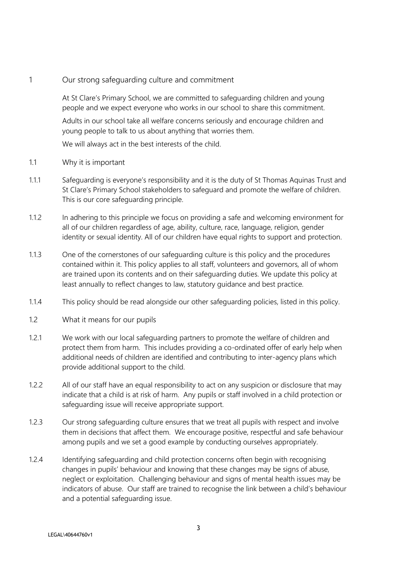# 1 Our strong safeguarding culture and commitment

At St Clare's Primary School, we are committed to safeguarding children and young people and we expect everyone who works in our school to share this commitment.

Adults in our school take all welfare concerns seriously and encourage children and young people to talk to us about anything that worries them.

We will always act in the best interests of the child.

- 1.1 Why it is important
- 1.1.1 Safeguarding is everyone's responsibility and it is the duty of St Thomas Aquinas Trust and St Clare's Primary School stakeholders to safeguard and promote the welfare of children. This is our core safeguarding principle.
- 1.1.2 In adhering to this principle we focus on providing a safe and welcoming environment for all of our children regardless of age, ability, culture, race, language, religion, gender identity or sexual identity. All of our children have equal rights to support and protection.
- 1.1.3 One of the cornerstones of our safeguarding culture is this policy and the procedures contained within it. This policy applies to all staff, volunteers and governors, all of whom are trained upon its contents and on their safeguarding duties. We update this policy at least annually to reflect changes to law, statutory guidance and best practice.
- 1.1.4 This policy should be read alongside our other safeguarding policies, listed in this policy.
- 1.2 What it means for our pupils
- 1.2.1 We work with our local safeguarding partners to promote the welfare of children and protect them from harm. This includes providing a co-ordinated offer of early help when additional needs of children are identified and contributing to inter-agency plans which provide additional support to the child.
- 1.2.2 All of our staff have an equal responsibility to act on any suspicion or disclosure that may indicate that a child is at risk of harm. Any pupils or staff involved in a child protection or safeguarding issue will receive appropriate support.
- 1.2.3 Our strong safeguarding culture ensures that we treat all pupils with respect and involve them in decisions that affect them. We encourage positive, respectful and safe behaviour among pupils and we set a good example by conducting ourselves appropriately.
- 1.2.4 Identifying safeguarding and child protection concerns often begin with recognising changes in pupils' behaviour and knowing that these changes may be signs of abuse, neglect or exploitation. Challenging behaviour and signs of mental health issues may be indicators of abuse. Our staff are trained to recognise the link between a child's behaviour and a potential safeguarding issue.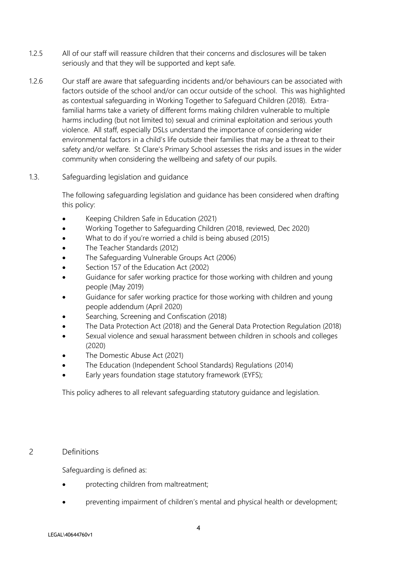- 1.2.5 All of our staff will reassure children that their concerns and disclosures will be taken seriously and that they will be supported and kept safe.
- 1.2.6 Our staff are aware that safeguarding incidents and/or behaviours can be associated with factors outside of the school and/or can occur outside of the school. This was highlighted as contextual safeguarding in Working Together to Safeguard Children (2018). Extrafamilial harms take a variety of different forms making children vulnerable to multiple harms including (but not limited to) sexual and criminal exploitation and serious youth violence. All staff, especially DSLs understand the importance of considering wider environmental factors in a child's life outside their families that may be a threat to their safety and/or welfare. St Clare's Primary School assesses the risks and issues in the wider community when considering the wellbeing and safety of our pupils.
- 1.3. Safeguarding legislation and guidance

The following safeguarding legislation and guidance has been considered when drafting this policy:

- Keeping Children Safe in Education (2021)
- Working Together to Safeguarding Children (2018, reviewed, Dec 2020)
- What to do if you're worried a child is being abused (2015)
- The Teacher Standards (2012)
- The Safeguarding Vulnerable Groups Act (2006)
- Section 157 of the Education Act (2002)
- Guidance for safer working practice for those working with children and young people (May 2019)
- Guidance for safer working practice for those working with children and young people addendum (April 2020)
- Searching, Screening and Confiscation (2018)
- The Data Protection Act (2018) and the General Data Protection Regulation (2018)
- Sexual violence and sexual harassment between children in schools and colleges (2020)
- The Domestic Abuse Act (2021)
- The Education (Independent School Standards) Regulations (2014)
- Early years foundation stage statutory framework (EYFS);

This policy adheres to all relevant safeguarding statutory guidance and legislation.

# 2 Definitions

Safeguarding is defined as:

- protecting children from maltreatment;
- preventing impairment of children's mental and physical health or development;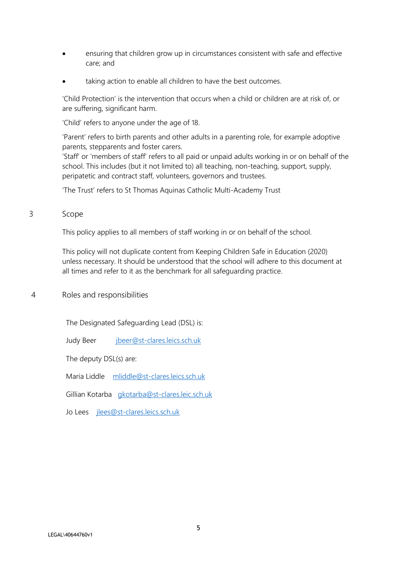- ensuring that children grow up in circumstances consistent with safe and effective care; and
- taking action to enable all children to have the best outcomes.

'Child Protection' is the intervention that occurs when a child or children are at risk of, or are suffering, significant harm.

'Child' refers to anyone under the age of 18.

'Parent' refers to birth parents and other adults in a parenting role, for example adoptive parents, stepparents and foster carers.

'Staff' or 'members of staff' refers to all paid or unpaid adults working in or on behalf of the school. This includes (but it not limited to) all teaching, non-teaching, support, supply, peripatetic and contract staff, volunteers, governors and trustees.

'The Trust' refers to St Thomas Aquinas Catholic Multi-Academy Trust

## 3 Scope

This policy applies to all members of staff working in or on behalf of the school.

This policy will not duplicate content from Keeping Children Safe in Education (2020) unless necessary. It should be understood that the school will adhere to this document at all times and refer to it as the benchmark for all safeguarding practice.

# 4 Roles and responsibilities

The Designated Safeguarding Lead (DSL) is:

Judy Beer [jbeer@st-clares.leics.sch.uk](mailto:jbeer@st-clares.leics.sch.uk) 

The deputy DSL(s) are:

Maria Liddle [mliddle@st-clares.leics.sch.uk](mailto:mliddle@st-clares.leics.sch.uk)

Gillian Kotarba [gkotarba@st-clares.leic.sch.uk](mailto:gkotarba@st-clares.leic.sch.uk)

Jo Lees [jlees@st-clares.leics.sch.uk](mailto:jlees@st-clares.leics.sch.uk)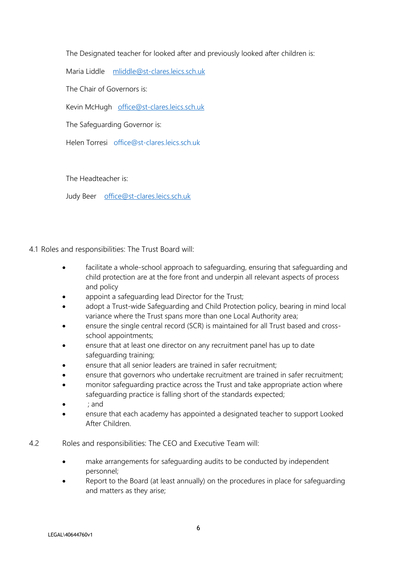The Designated teacher for looked after and previously looked after children is:

Maria Liddle [mliddle@st-clares.leics.sch.uk](mailto:mliddle@st-clares.leics.sch.uk)

The Chair of Governors is:

Kevin McHugh [office@st-clares.leics.sch.uk](mailto:office@st-clares.leics.sch.uk)

The Safeguarding Governor is:

Helen Torresi [office@st-clares.leics.sch.uk](mailto:office@st-clares.leics.sch.uk)

The Headteacher is:

Judy Beer [office@st-clares.leics.sch.uk](mailto:office@st-clares.leics.sch.uk) 

4.1 Roles and responsibilities: The Trust Board will:

- facilitate a whole-school approach to safeguarding, ensuring that safeguarding and child protection are at the fore front and underpin all relevant aspects of process and policy
- appoint a safeguarding lead Director for the Trust;
- adopt a Trust-wide Safeguarding and Child Protection policy, bearing in mind local variance where the Trust spans more than one Local Authority area;
- ensure the single central record (SCR) is maintained for all Trust based and crossschool appointments;
- ensure that at least one director on any recruitment panel has up to date safeguarding training;
- ensure that all senior leaders are trained in safer recruitment;
- ensure that governors who undertake recruitment are trained in safer recruitment;
- monitor safeguarding practice across the Trust and take appropriate action where safeguarding practice is falling short of the standards expected;
- ; and
- ensure that each academy has appointed a designated teacher to support Looked After Children.
- 4.2 Roles and responsibilities: The CEO and Executive Team will:
	- make arrangements for safeguarding audits to be conducted by independent personnel;
	- Report to the Board (at least annually) on the procedures in place for safeguarding and matters as they arise;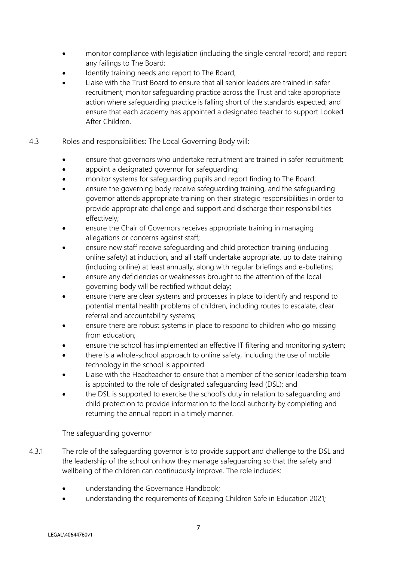- monitor compliance with legislation (including the single central record) and report any failings to The Board;
- Identify training needs and report to The Board;
- Liaise with the Trust Board to ensure that all senior leaders are trained in safer recruitment; monitor safeguarding practice across the Trust and take appropriate action where safeguarding practice is falling short of the standards expected; and ensure that each academy has appointed a designated teacher to support Looked After Children.
- 4.3 Roles and responsibilities: The Local Governing Body will:
	- ensure that governors who undertake recruitment are trained in safer recruitment;
	- appoint a designated governor for safeguarding;
	- monitor systems for safeguarding pupils and report finding to The Board;
	- ensure the governing body receive safeguarding training, and the safeguarding governor attends appropriate training on their strategic responsibilities in order to provide appropriate challenge and support and discharge their responsibilities effectively;
	- ensure the Chair of Governors receives appropriate training in managing allegations or concerns against staff;
	- ensure new staff receive safeguarding and child protection training (including online safety) at induction, and all staff undertake appropriate, up to date training (including online) at least annually, along with regular briefings and e-bulletins;
	- ensure any deficiencies or weaknesses brought to the attention of the local governing body will be rectified without delay;
	- ensure there are clear systems and processes in place to identify and respond to potential mental health problems of children, including routes to escalate, clear referral and accountability systems;
	- ensure there are robust systems in place to respond to children who go missing from education;
	- ensure the school has implemented an effective IT filtering and monitoring system;
	- there is a whole-school approach to online safety, including the use of mobile technology in the school is appointed
	- Liaise with the Headteacher to ensure that a member of the senior leadership team is appointed to the role of designated safeguarding lead (DSL); and
	- the DSL is supported to exercise the school's duty in relation to safeguarding and child protection to provide information to the local authority by completing and returning the annual report in a timely manner.

The safeguarding governor

- 4.3.1 The role of the safeguarding governor is to provide support and challenge to the DSL and the leadership of the school on how they manage safeguarding so that the safety and wellbeing of the children can continuously improve. The role includes:
	- understanding the Governance Handbook;
	- understanding the requirements of Keeping Children Safe in Education 2021;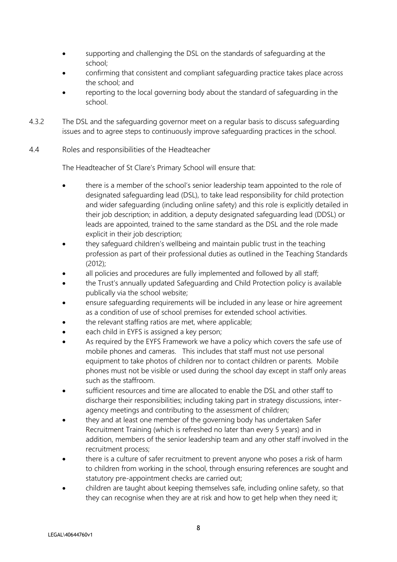- supporting and challenging the DSL on the standards of safeguarding at the school;
- confirming that consistent and compliant safeguarding practice takes place across the school; and
- reporting to the local governing body about the standard of safeguarding in the school.
- 4.3.2 The DSL and the safeguarding governor meet on a regular basis to discuss safeguarding issues and to agree steps to continuously improve safeguarding practices in the school.
- 4.4 Roles and responsibilities of the Headteacher

The Headteacher of St Clare's Primary School will ensure that:

- there is a member of the school's senior leadership team appointed to the role of designated safeguarding lead (DSL), to take lead responsibility for child protection and wider safeguarding (including online safety) and this role is explicitly detailed in their job description; in addition, a deputy designated safeguarding lead (DDSL) or leads are appointed, trained to the same standard as the DSL and the role made explicit in their job description;
- they safeguard children's wellbeing and maintain public trust in the teaching profession as part of their professional duties as outlined in the Teaching Standards (2012);
- all policies and procedures are fully implemented and followed by all staff;
- the Trust's annually updated Safeguarding and Child Protection policy is available publically via the school website;
- ensure safeguarding requirements will be included in any lease or hire agreement as a condition of use of school premises for extended school activities.
- the relevant staffing ratios are met, where applicable;
- each child in EYFS is assigned a key person;
- As required by the EYFS Framework we have a policy which covers the safe use of mobile phones and cameras. This includes that staff must not use personal equipment to take photos of children nor to contact children or parents. Mobile phones must not be visible or used during the school day except in staff only areas such as the staffroom.
- sufficient resources and time are allocated to enable the DSL and other staff to discharge their responsibilities; including taking part in strategy discussions, interagency meetings and contributing to the assessment of children;
- they and at least one member of the governing body has undertaken Safer Recruitment Training (which is refreshed no later than every 5 years) and in addition, members of the senior leadership team and any other staff involved in the recruitment process;
- there is a culture of safer recruitment to prevent anyone who poses a risk of harm to children from working in the school, through ensuring references are sought and statutory pre-appointment checks are carried out;
- children are taught about keeping themselves safe, including online safety, so that they can recognise when they are at risk and how to get help when they need it;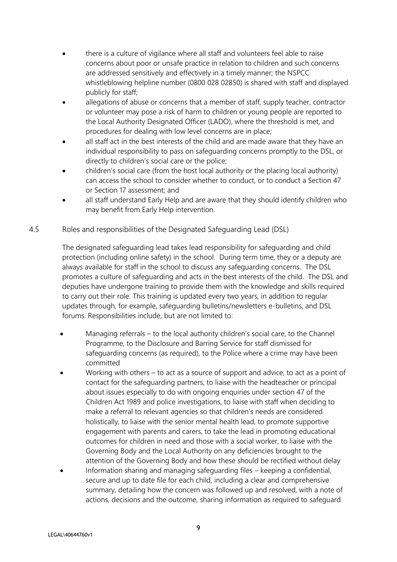- there is a culture of vigilance where all staff and volunteers feel able to raise concerns about poor or unsafe practice in relation to children and such concerns are addressed sensitively and effectively in a timely manner; the NSPCC whistleblowing helpline number (0800 028 02850) is shared with staff and displayed publicly for staff;
- allegations of abuse or concerns that a member of staff, supply teacher, contractor or volunteer may pose a risk of harm to children or young people are reported to the Local Authority Designated Officer (LADO), where the threshold is met, and procedures for dealing with low level concerns are in place;
- all staff act in the best interests of the child and are made aware that they have an individual responsibility to pass on safeguarding concerns promptly to the DSL, or directly to children's social care or the police;
- children's social care (from the host local authority or the placing local authority) can access the school to consider whether to conduct, or to conduct a Section 47 or Section 17 assessment; and
- all staff understand Early Help and are aware that they should identify children who may benefit from Early Help intervention.
- 4.5 Roles and responsibilities of the Designated Safeguarding Lead (DSL)

The designated safeguarding lead takes lead responsibility for safeguarding and child protection (including online safety) in the school. During term time, they or a deputy are always available for staff in the school to discuss any safeguarding concerns. The DSL promotes a culture of safeguarding and acts in the best interests of the child. The DSL and deputies have undergone training to provide them with the knowledge and skills required to carry out their role. This training is updated every two years, in addition to regular updates through, for example, safeguarding bulletins/newsletters e-bulletins, and DSL forums. Responsibilities include, but are not limited to:

- Managing referrals to the local authority children's social care, to the Channel Programme, to the Disclosure and Barring Service for staff dismissed for safeguarding concerns (as required), to the Police where a crime may have been committed
- Working with others  $-$  to act as a source of support and advice, to act as a point of contact for the safeguarding partners, to liaise with the headteacher or principal about issues especially to do with ongoing enquiries under section 47 of the Children Act 1989 and police investigations, to liaise with staff when deciding to make a referral to relevant agencies so that children's needs are considered holistically, to liaise with the senior mental health lead, to promote supportive engagement with parents and carers, to take the lead in promoting educational outcomes for children in need and those with a social worker, to liaise with the Governing Body and the Local Authority on any deficiencies brought to the attention of the Governing Body and how these should be rectified without delay
- Information sharing and managing safeguarding files keeping a confidential, secure and up to date file for each child, including a clear and comprehensive summary, detailing how the concern was followed up and resolved, with a note of actions, decisions and the outcome, sharing information as required to safeguard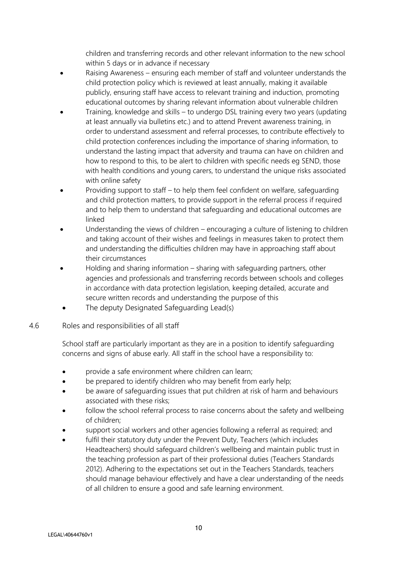children and transferring records and other relevant information to the new school within 5 days or in advance if necessary

- Raising Awareness ensuring each member of staff and volunteer understands the child protection policy which is reviewed at least annually, making it available publicly, ensuring staff have access to relevant training and induction, promoting educational outcomes by sharing relevant information about vulnerable children
- Training, knowledge and skills to undergo DSL training every two years (updating at least annually via bulletins etc.) and to attend Prevent awareness training, in order to understand assessment and referral processes, to contribute effectively to child protection conferences including the importance of sharing information, to understand the lasting impact that adversity and trauma can have on children and how to respond to this, to be alert to children with specific needs eg SEND, those with health conditions and young carers, to understand the unique risks associated with online safety
- Providing support to staff to help them feel confident on welfare, safeguarding and child protection matters, to provide support in the referral process if required and to help them to understand that safeguarding and educational outcomes are linked
- Understanding the views of children encouraging a culture of listening to children and taking account of their wishes and feelings in measures taken to protect them and understanding the difficulties children may have in approaching staff about their circumstances
- Holding and sharing information sharing with safeguarding partners, other agencies and professionals and transferring records between schools and colleges in accordance with data protection legislation, keeping detailed, accurate and secure written records and understanding the purpose of this
- The deputy Designated Safeguarding Lead(s)
- 4.6 Roles and responsibilities of all staff

School staff are particularly important as they are in a position to identify safeguarding concerns and signs of abuse early. All staff in the school have a responsibility to:

- provide a safe environment where children can learn;
- be prepared to identify children who may benefit from early help;
- be aware of safeguarding issues that put children at risk of harm and behaviours associated with these risks;
- follow the school referral process to raise concerns about the safety and wellbeing of children;
- support social workers and other agencies following a referral as required; and
- fulfil their statutory duty under the Prevent Duty, Teachers (which includes Headteachers) should safeguard children's wellbeing and maintain public trust in the teaching profession as part of their professional duties (Teachers Standards 2012). Adhering to the expectations set out in the Teachers Standards, teachers should manage behaviour effectively and have a clear understanding of the needs of all children to ensure a good and safe learning environment.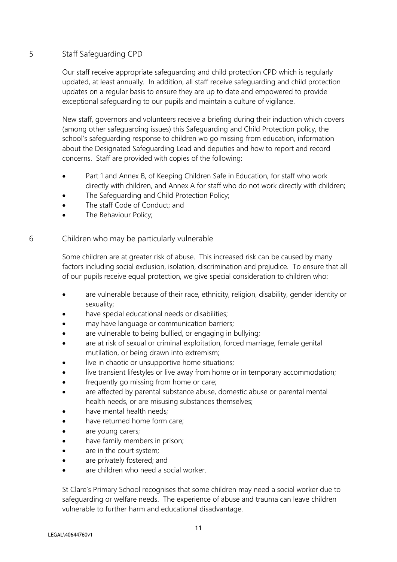# 5 Staff Safeguarding CPD

Our staff receive appropriate safeguarding and child protection CPD which is regularly updated, at least annually. In addition, all staff receive safeguarding and child protection updates on a regular basis to ensure they are up to date and empowered to provide exceptional safeguarding to our pupils and maintain a culture of vigilance.

New staff, governors and volunteers receive a briefing during their induction which covers (among other safeguarding issues) this Safeguarding and Child Protection policy, the school's safeguarding response to children wo go missing from education, information about the Designated Safeguarding Lead and deputies and how to report and record concerns. Staff are provided with copies of the following:

- Part 1 and Annex B, of Keeping Children Safe in Education, for staff who work directly with children, and Annex A for staff who do not work directly with children;
- The Safeguarding and Child Protection Policy;
- The staff Code of Conduct; and
- The Behaviour Policy;

6 Children who may be particularly vulnerable

Some children are at greater risk of abuse. This increased risk can be caused by many factors including social exclusion, isolation, discrimination and prejudice. To ensure that all of our pupils receive equal protection, we give special consideration to children who:

- are vulnerable because of their race, ethnicity, religion, disability, gender identity or sexuality;
- have special educational needs or disabilities;
- may have language or communication barriers;
- are vulnerable to being bullied, or engaging in bullying;
- are at risk of sexual or criminal exploitation, forced marriage, female genital mutilation, or being drawn into extremism;
- live in chaotic or unsupportive home situations;
- live transient lifestyles or live away from home or in temporary accommodation;
- frequently go missing from home or care;
- are affected by parental substance abuse, domestic abuse or parental mental health needs, or are misusing substances themselves;
- have mental health needs;
- have returned home form care:
- are young carers;
- have family members in prison;
- are in the court system;
- are privately fostered; and
- are children who need a social worker.

St Clare's Primary School recognises that some children may need a social worker due to safeguarding or welfare needs. The experience of abuse and trauma can leave children vulnerable to further harm and educational disadvantage.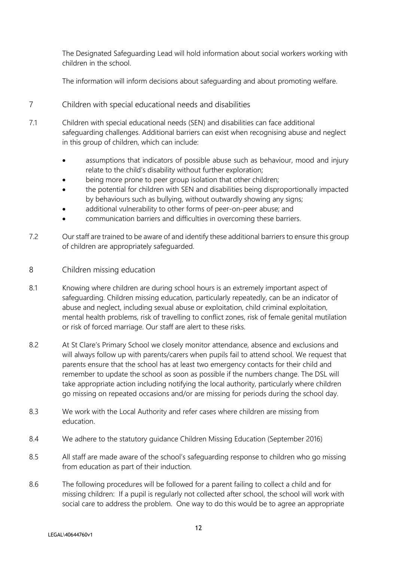The Designated Safeguarding Lead will hold information about social workers working with children in the school.

The information will inform decisions about safeguarding and about promoting welfare.

- 7 Children with special educational needs and disabilities
- 7.1 Children with special educational needs (SEN) and disabilities can face additional safeguarding challenges. Additional barriers can exist when recognising abuse and neglect in this group of children, which can include:
	- assumptions that indicators of possible abuse such as behaviour, mood and injury relate to the child's disability without further exploration;
	- being more prone to peer group isolation that other children;
	- the potential for children with SEN and disabilities being disproportionally impacted by behaviours such as bullying, without outwardly showing any signs;
	- additional vulnerability to other forms of peer-on-peer abuse; and
	- communication barriers and difficulties in overcoming these barriers.
- 7.2 Our staff are trained to be aware of and identify these additional barriers to ensure this group of children are appropriately safeguarded.
- 8 Children missing education
- 8.1 Knowing where children are during school hours is an extremely important aspect of safeguarding. Children missing education, particularly repeatedly, can be an indicator of abuse and neglect, including sexual abuse or exploitation, child criminal exploitation, mental health problems, risk of travelling to conflict zones, risk of female genital mutilation or risk of forced marriage. Our staff are alert to these risks.
- 8.2 At St Clare's Primary School we closely monitor attendance, absence and exclusions and will always follow up with parents/carers when pupils fail to attend school. We request that parents ensure that the school has at least two emergency contacts for their child and remember to update the school as soon as possible if the numbers change. The DSL will take appropriate action including notifying the local authority, particularly where children go missing on repeated occasions and/or are missing for periods during the school day.
- 8.3 We work with the Local Authority and refer cases where children are missing from education.
- 8.4 We adhere to the statutory guidance Children Missing Education (September 2016)
- 8.5 All staff are made aware of the school's safeguarding response to children who go missing from education as part of their induction.
- 8.6 The following procedures will be followed for a parent failing to collect a child and for missing children: If a pupil is regularly not collected after school, the school will work with social care to address the problem. One way to do this would be to agree an appropriate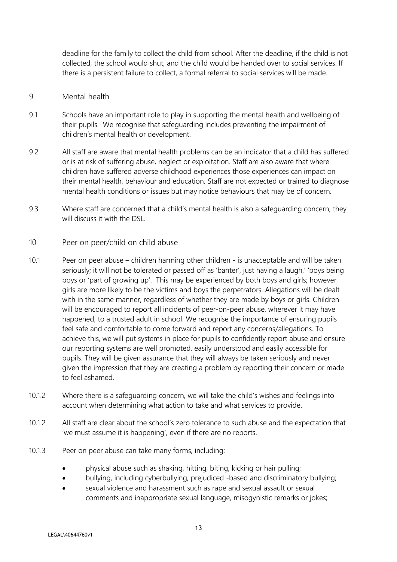deadline for the family to collect the child from school. After the deadline, if the child is not collected, the school would shut, and the child would be handed over to social services. If there is a persistent failure to collect, a formal referral to social services will be made.

## 9 Mental health

- 9.1 Schools have an important role to play in supporting the mental health and wellbeing of their pupils. We recognise that safeguarding includes preventing the impairment of children's mental health or development.
- 9.2 All staff are aware that mental health problems can be an indicator that a child has suffered or is at risk of suffering abuse, neglect or exploitation. Staff are also aware that where children have suffered adverse childhood experiences those experiences can impact on their mental health, behaviour and education. Staff are not expected or trained to diagnose mental health conditions or issues but may notice behaviours that may be of concern.
- 9.3 Where staff are concerned that a child's mental health is also a safeguarding concern, they will discuss it with the DSL.

## 10 Peer on peer/child on child abuse

- 10.1 Peer on peer abuse children harming other children is unacceptable and will be taken seriously; it will not be tolerated or passed off as 'banter', just having a laugh,' 'boys being boys or 'part of growing up'. This may be experienced by both boys and girls; however girls are more likely to be the victims and boys the perpetrators. Allegations will be dealt with in the same manner, regardless of whether they are made by boys or girls. Children will be encouraged to report all incidents of peer-on-peer abuse, wherever it may have happened, to a trusted adult in school. We recognise the importance of ensuring pupils feel safe and comfortable to come forward and report any concerns/allegations. To achieve this, we will put systems in place for pupils to confidently report abuse and ensure our reporting systems are well promoted, easily understood and easily accessible for pupils. They will be given assurance that they will always be taken seriously and never given the impression that they are creating a problem by reporting their concern or made to feel ashamed.
- 10.1.2 Where there is a safeguarding concern, we will take the child's wishes and feelings into account when determining what action to take and what services to provide.
- 10.1.2 All staff are clear about the school's zero tolerance to such abuse and the expectation that 'we must assume it is happening', even if there are no reports.
- 10.1.3 Peer on peer abuse can take many forms, including:
	- physical abuse such as shaking, hitting, biting, kicking or hair pulling;
	- bullying, including cyberbullying, prejudiced -based and discriminatory bullying;
	- sexual violence and harassment such as rape and sexual assault or sexual comments and inappropriate sexual language, misogynistic remarks or jokes;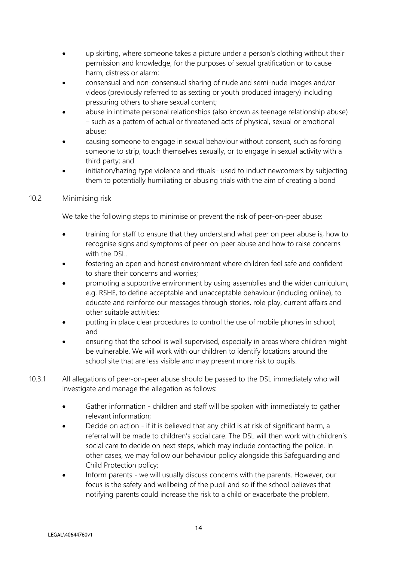- up skirting, where someone takes a picture under a person's clothing without their permission and knowledge, for the purposes of sexual gratification or to cause harm, distress or alarm;
- consensual and non-consensual sharing of nude and semi-nude images and/or videos (previously referred to as sexting or youth produced imagery) including pressuring others to share sexual content;
- abuse in intimate personal relationships (also known as teenage relationship abuse) – such as a pattern of actual or threatened acts of physical, sexual or emotional abuse;
- causing someone to engage in sexual behaviour without consent, such as forcing someone to strip, touch themselves sexually, or to engage in sexual activity with a third party; and
- initiation/hazing type violence and rituals- used to induct newcomers by subjecting them to potentially humiliating or abusing trials with the aim of creating a bond

# 10.2 Minimising risk

We take the following steps to minimise or prevent the risk of peer-on-peer abuse:

- training for staff to ensure that they understand what peer on peer abuse is, how to recognise signs and symptoms of peer-on-peer abuse and how to raise concerns with the DSL.
- fostering an open and honest environment where children feel safe and confident to share their concerns and worries;
- promoting a supportive environment by using assemblies and the wider curriculum, e.g. RSHE, to define acceptable and unacceptable behaviour (including online), to educate and reinforce our messages through stories, role play, current affairs and other suitable activities;
- putting in place clear procedures to control the use of mobile phones in school; and
- ensuring that the school is well supervised, especially in areas where children might be vulnerable. We will work with our children to identify locations around the school site that are less visible and may present more risk to pupils.
- 10.3.1 All allegations of peer-on-peer abuse should be passed to the DSL immediately who will investigate and manage the allegation as follows:
	- Gather information children and staff will be spoken with immediately to gather relevant information;
	- Decide on action if it is believed that any child is at risk of significant harm, a referral will be made to children's social care. The DSL will then work with children's social care to decide on next steps, which may include contacting the police. In other cases, we may follow our behaviour policy alongside this Safeguarding and Child Protection policy;
	- Inform parents we will usually discuss concerns with the parents. However, our focus is the safety and wellbeing of the pupil and so if the school believes that notifying parents could increase the risk to a child or exacerbate the problem,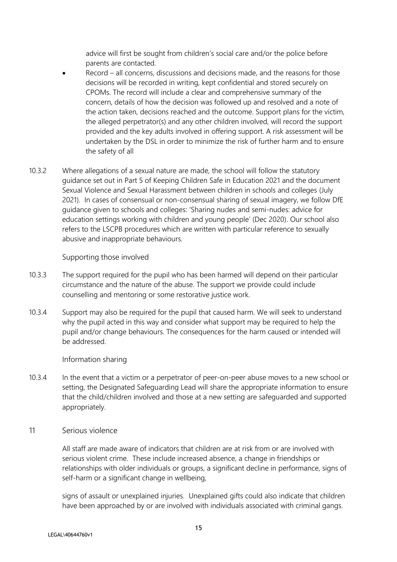advice will first be sought from children's social care and/or the police before parents are contacted.

- Record all concerns, discussions and decisions made, and the reasons for those decisions will be recorded in writing, kept confidential and stored securely on CPOMs. The record will include a clear and comprehensive summary of the concern, details of how the decision was followed up and resolved and a note of the action taken, decisions reached and the outcome. Support plans for the victim, the alleged perpetrator(s) and any other children involved, will record the support provided and the key adults involved in offering support. A risk assessment will be undertaken by the DSL in order to minimize the risk of further harm and to ensure the safety of all
- 10.3.2 Where allegations of a sexual nature are made, the school will follow the statutory guidance set out in Part 5 of Keeping Children Safe in Education 2021 and the document Sexual Violence and Sexual Harassment between children in schools and colleges (July 2021). In cases of consensual or non-consensual sharing of sexual imagery, we follow DfE guidance given to schools and colleges: 'Sharing nudes and semi-nudes: advice for education settings working with children and young people' (Dec 2020). Our school also refers to the LSCPB procedures which are written with particular reference to sexually abusive and inappropriate behaviours.

## Supporting those involved

- 10.3.3 The support required for the pupil who has been harmed will depend on their particular circumstance and the nature of the abuse. The support we provide could include counselling and mentoring or some restorative justice work.
- 10.3.4 Support may also be required for the pupil that caused harm. We will seek to understand why the pupil acted in this way and consider what support may be required to help the pupil and/or change behaviours. The consequences for the harm caused or intended will be addressed.

#### Information sharing

10.3.4 In the event that a victim or a perpetrator of peer-on-peer abuse moves to a new school or setting, the Designated Safeguarding Lead will share the appropriate information to ensure that the child/children involved and those at a new setting are safeguarded and supported appropriately.

#### 11 Serious violence

All staff are made aware of indicators that children are at risk from or are involved with serious violent crime. These include increased absence, a change in friendships or relationships with older individuals or groups, a significant decline in performance, signs of self-harm or a significant change in wellbeing,

signs of assault or unexplained injuries. Unexplained gifts could also indicate that children have been approached by or are involved with individuals associated with criminal gangs.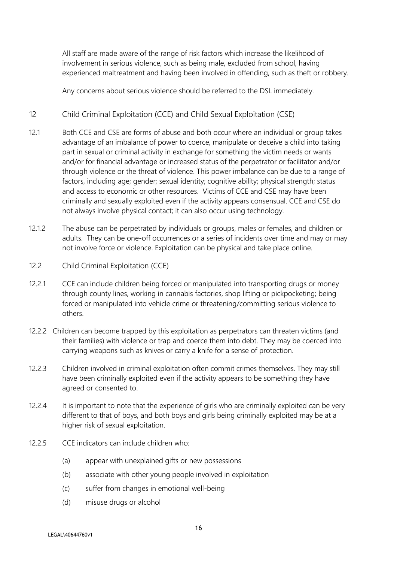All staff are made aware of the range of risk factors which increase the likelihood of involvement in serious violence, such as being male, excluded from school, having experienced maltreatment and having been involved in offending, such as theft or robbery.

Any concerns about serious violence should be referred to the DSL immediately.

# 12 Child Criminal Exploitation (CCE) and Child Sexual Exploitation (CSE)

- 12.1 Both CCE and CSE are forms of abuse and both occur where an individual or group takes advantage of an imbalance of power to coerce, manipulate or deceive a child into taking part in sexual or criminal activity in exchange for something the victim needs or wants and/or for financial advantage or increased status of the perpetrator or facilitator and/or through violence or the threat of violence. This power imbalance can be due to a range of factors, including age; gender; sexual identity; cognitive ability; physical strength; status and access to economic or other resources. Victims of CCE and CSE may have been criminally and sexually exploited even if the activity appears consensual. CCE and CSE do not always involve physical contact; it can also occur using technology.
- 12.1.2 The abuse can be perpetrated by individuals or groups, males or females, and children or adults. They can be one-off occurrences or a series of incidents over time and may or may not involve force or violence. Exploitation can be physical and take place online.
- 12.2 Child Criminal Exploitation (CCE)
- 12.2.1 CCE can include children being forced or manipulated into transporting drugs or money through county lines, working in cannabis factories, shop lifting or pickpocketing; being forced or manipulated into vehicle crime or threatening/committing serious violence to others.
- 12.2.2 Children can become trapped by this exploitation as perpetrators can threaten victims (and their families) with violence or trap and coerce them into debt. They may be coerced into carrying weapons such as knives or carry a knife for a sense of protection.
- 12.2.3 Children involved in criminal exploitation often commit crimes themselves. They may still have been criminally exploited even if the activity appears to be something they have agreed or consented to.
- 12.2.4 It is important to note that the experience of girls who are criminally exploited can be very different to that of boys, and both boys and girls being criminally exploited may be at a higher risk of sexual exploitation.
- 12.2.5 CCE indicators can include children who:
	- (a) appear with unexplained gifts or new possessions
	- (b) associate with other young people involved in exploitation
	- (c) suffer from changes in emotional well-being
	- (d) misuse drugs or alcohol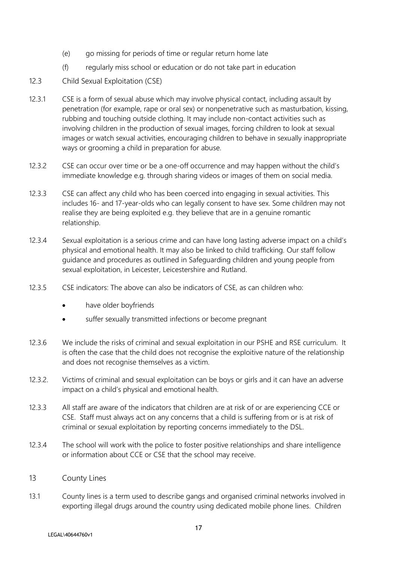- (e) go missing for periods of time or regular return home late
- (f) regularly miss school or education or do not take part in education
- 12.3 Child Sexual Exploitation (CSE)
- 12.3.1 CSE is a form of sexual abuse which may involve physical contact, including assault by penetration (for example, rape or oral sex) or nonpenetrative such as masturbation, kissing, rubbing and touching outside clothing. It may include non-contact activities such as involving children in the production of sexual images, forcing children to look at sexual images or watch sexual activities, encouraging children to behave in sexually inappropriate ways or grooming a child in preparation for abuse.
- 12.3.2 CSE can occur over time or be a one-off occurrence and may happen without the child's immediate knowledge e.g. through sharing videos or images of them on social media.
- 12.3.3 CSE can affect any child who has been coerced into engaging in sexual activities. This includes 16- and 17-year-olds who can legally consent to have sex. Some children may not realise they are being exploited e.g. they believe that are in a genuine romantic relationship.
- 12.3.4 Sexual exploitation is a serious crime and can have long lasting adverse impact on a child's physical and emotional health. It may also be linked to child trafficking. Our staff follow guidance and procedures as outlined in Safeguarding children and young people from sexual exploitation, in Leicester, Leicestershire and Rutland.
- 12.3.5 CSE indicators: The above can also be indicators of CSE, as can children who:
	- have older boyfriends
	- suffer sexually transmitted infections or become pregnant
- 12.3.6 We include the risks of criminal and sexual exploitation in our PSHE and RSE curriculum. It is often the case that the child does not recognise the exploitive nature of the relationship and does not recognise themselves as a victim.
- 12.3.2. Victims of criminal and sexual exploitation can be boys or girls and it can have an adverse impact on a child's physical and emotional health.
- 12.3.3 All staff are aware of the indicators that children are at risk of or are experiencing CCE or CSE. Staff must always act on any concerns that a child is suffering from or is at risk of criminal or sexual exploitation by reporting concerns immediately to the DSL.
- 12.3.4 The school will work with the police to foster positive relationships and share intelligence or information about CCE or CSE that the school may receive.
- 13 County Lines
- 13.1 County lines is a term used to describe gangs and organised criminal networks involved in exporting illegal drugs around the country using dedicated mobile phone lines. Children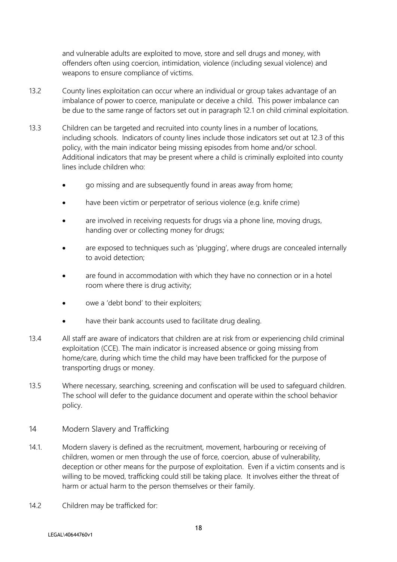and vulnerable adults are exploited to move, store and sell drugs and money, with offenders often using coercion, intimidation, violence (including sexual violence) and weapons to ensure compliance of victims.

- 13.2 County lines exploitation can occur where an individual or group takes advantage of an imbalance of power to coerce, manipulate or deceive a child. This power imbalance can be due to the same range of factors set out in paragraph 12.1 on child criminal exploitation.
- 13.3 Children can be targeted and recruited into county lines in a number of locations, including schools. Indicators of county lines include those indicators set out at 12.3 of this policy, with the main indicator being missing episodes from home and/or school. Additional indicators that may be present where a child is criminally exploited into county lines include children who:
	- go missing and are subsequently found in areas away from home;
	- have been victim or perpetrator of serious violence (e.g. knife crime)
	- are involved in receiving requests for drugs via a phone line, moving drugs, handing over or collecting money for drugs;
	- are exposed to techniques such as 'plugging', where drugs are concealed internally to avoid detection;
	- are found in accommodation with which they have no connection or in a hotel room where there is drug activity;
	- owe a 'debt bond' to their exploiters;
	- have their bank accounts used to facilitate drug dealing.
- 13.4 All staff are aware of indicators that children are at risk from or experiencing child criminal exploitation (CCE). The main indicator is increased absence or going missing from home/care, during which time the child may have been trafficked for the purpose of transporting drugs or money.
- 13.5 Where necessary, searching, screening and confiscation will be used to safeguard children. The school will defer to the guidance document and operate within the school behavior policy.
- 14 Modern Slavery and Trafficking
- 14.1. Modern slavery is defined as the recruitment, movement, harbouring or receiving of children, women or men through the use of force, coercion, abuse of vulnerability, deception or other means for the purpose of exploitation. Even if a victim consents and is willing to be moved, trafficking could still be taking place. It involves either the threat of harm or actual harm to the person themselves or their family.
- 14.2 Children may be trafficked for: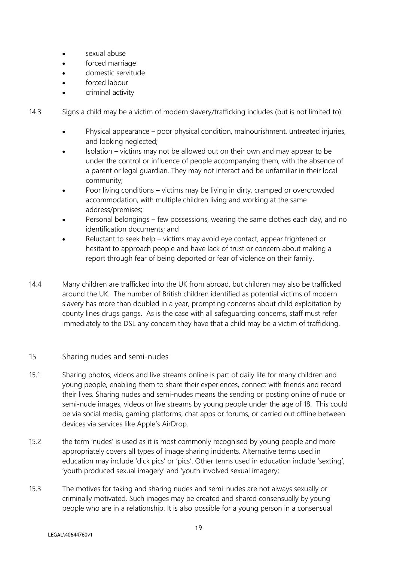- sexual abuse
- forced marriage
- domestic servitude
- forced labour
- criminal activity

14.3 Signs a child may be a victim of modern slavery/trafficking includes (but is not limited to):

- Physical appearance poor physical condition, malnourishment, untreated injuries, and looking neglected;
- Isolation victims may not be allowed out on their own and may appear to be under the control or influence of people accompanying them, with the absence of a parent or legal guardian. They may not interact and be unfamiliar in their local community;
- Poor living conditions victims may be living in dirty, cramped or overcrowded accommodation, with multiple children living and working at the same address/premises;
- Personal belongings few possessions, wearing the same clothes each day, and no identification documents; and
- Reluctant to seek help victims may avoid eye contact, appear frightened or hesitant to approach people and have lack of trust or concern about making a report through fear of being deported or fear of violence on their family.
- 14.4 Many children are trafficked into the UK from abroad, but children may also be trafficked around the UK. The number of British children identified as potential victims of modern slavery has more than doubled in a year, prompting concerns about child exploitation by county lines drugs gangs. As is the case with all safeguarding concerns, staff must refer immediately to the DSL any concern they have that a child may be a victim of trafficking.

# 15 Sharing nudes and semi-nudes

- 15.1 Sharing photos, videos and live streams online is part of daily life for many children and young people, enabling them to share their experiences, connect with friends and record their lives. Sharing nudes and semi-nudes means the sending or posting online of nude or semi-nude images, videos or live streams by young people under the age of 18. This could be via social media, gaming platforms, chat apps or forums, or carried out offline between devices via services like Apple's AirDrop.
- 15.2 the term 'nudes' is used as it is most commonly recognised by young people and more appropriately covers all types of image sharing incidents. Alternative terms used in education may include 'dick pics' or 'pics'. Other terms used in education include 'sexting', 'youth produced sexual imagery' and 'youth involved sexual imagery;
- 15.3 The motives for taking and sharing nudes and semi-nudes are not always sexually or criminally motivated. Such images may be created and shared consensually by young people who are in a relationship. It is also possible for a young person in a consensual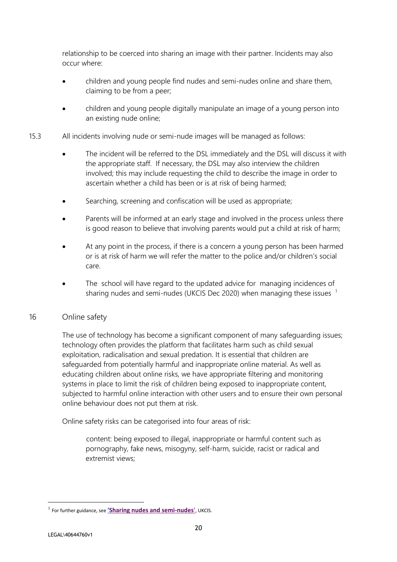relationship to be coerced into sharing an image with their partner. Incidents may also occur where:

- children and young people find nudes and semi-nudes online and share them, claiming to be from a peer;
- children and young people digitally manipulate an image of a young person into an existing nude online;
- 15.3 All incidents involving nude or semi-nude images will be managed as follows:
	- The incident will be referred to the DSL immediately and the DSL will discuss it with the appropriate staff. If necessary, the DSL may also interview the children involved; this may include requesting the child to describe the image in order to ascertain whether a child has been or is at risk of being harmed;
	- Searching, screening and confiscation will be used as appropriate;
	- Parents will be informed at an early stage and involved in the process unless there is good reason to believe that involving parents would put a child at risk of harm;
	- At any point in the process, if there is a concern a young person has been harmed or is at risk of harm we will refer the matter to the police and/or children's social care.
	- The school will have regard to the updated advice for managing incidences of sharing nudes and semi-nudes (UKCIS Dec 2020) when managing these issues  $1$

# 16 Online safety

The use of technology has become a significant component of many safeguarding issues; technology often provides the platform that facilitates harm such as child sexual exploitation, radicalisation and sexual predation. It is essential that children are safeguarded from potentially harmful and inappropriate online material. As well as educating children about online risks, we have appropriate filtering and monitoring systems in place to limit the risk of children being exposed to inappropriate content, subjected to harmful online interaction with other users and to ensure their own personal online behaviour does not put them at risk.

Online safety risks can be categorised into four areas of risk:

content: being exposed to illegal, inappropriate or harmful content such as pornography, fake news, misogyny, self-harm, suicide, racist or radical and extremist views;

<sup>1</sup> For further guidance, see **'[Sharing nudes and semi-nudes](https://assets.publishing.service.gov.uk/government/uploads/system/uploads/attachment_data/file/759009/Overview_of_Sexting_Guidance.pdf)**', UKCIS.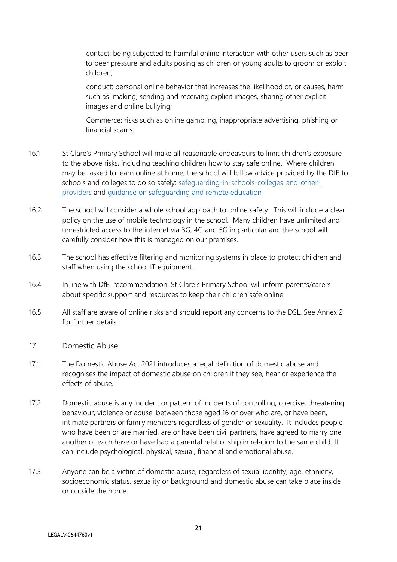contact: being subjected to harmful online interaction with other users such as peer to peer pressure and adults posing as children or young adults to groom or exploit children;

conduct: personal online behavior that increases the likelihood of, or causes, harm such as making, sending and receiving explicit images, sharing other explicit images and online bullying;

Commerce: risks such as online gambling, inappropriate advertising, phishing or financial scams.

- 16.1 St Clare's Primary School will make all reasonable endeavours to limit children's exposure to the above risks, including teaching children how to stay safe online. Where children may be asked to learn online at home, the school will follow advice provided by the DfE to schools and colleges to do so safely: safeguarding-in-schools-colleges-and-otherproviders and [guidance on safeguarding and remote education](https://www.gov.uk/guidance/safeguarding-and-remote-education-during-coronavirus-covid-19)
- 16.2 The school will consider a whole school approach to online safety. This will include a clear policy on the use of mobile technology in the school. Many children have unlimited and unrestricted access to the internet via 3G, 4G and 5G in particular and the school will carefully consider how this is managed on our premises.
- 16.3 The school has effective filtering and monitoring systems in place to protect children and staff when using the school IT equipment.
- 16.4 In line with DfE recommendation, St Clare's Primary School will inform parents/carers about specific support and resources to keep their children safe online.
- 16.5 All staff are aware of online risks and should report any concerns to the DSL. See Annex 2 for further details
- 17 Domestic Abuse
- 17.1 The Domestic Abuse Act 2021 introduces a legal definition of domestic abuse and recognises the impact of domestic abuse on children if they see, hear or experience the effects of abuse.
- 17.2 Domestic abuse is any incident or pattern of incidents of controlling, coercive, threatening behaviour, violence or abuse, between those aged 16 or over who are, or have been, intimate partners or family members regardless of gender or sexuality. It includes people who have been or are married, are or have been civil partners, have agreed to marry one another or each have or have had a parental relationship in relation to the same child. It can include psychological, physical, sexual, financial and emotional abuse.
- 17.3 Anyone can be a victim of domestic abuse, regardless of sexual identity, age, ethnicity, socioeconomic status, sexuality or background and domestic abuse can take place inside or outside the home.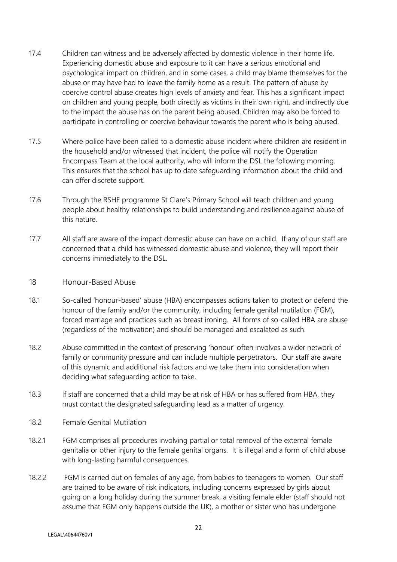- 17.4 Children can witness and be adversely affected by domestic violence in their home life. Experiencing domestic abuse and exposure to it can have a serious emotional and psychological impact on children, and in some cases, a child may blame themselves for the abuse or may have had to leave the family home as a result. The pattern of abuse by coercive control abuse creates high levels of anxiety and fear. This has a significant impact on children and young people, both directly as victims in their own right, and indirectly due to the impact the abuse has on the parent being abused. Children may also be forced to participate in controlling or coercive behaviour towards the parent who is being abused.
- 17.5 Where police have been called to a domestic abuse incident where children are resident in the household and/or witnessed that incident, the police will notify the Operation Encompass Team at the local authority, who will inform the DSL the following morning. This ensures that the school has up to date safeguarding information about the child and can offer discrete support.
- 17.6 Through the RSHE programme St Clare's Primary School will teach children and young people about healthy relationships to build understanding and resilience against abuse of this nature.
- 17.7 All staff are aware of the impact domestic abuse can have on a child. If any of our staff are concerned that a child has witnessed domestic abuse and violence, they will report their concerns immediately to the DSL.

## 18 Honour-Based Abuse

- 18.1 So-called 'honour-based' abuse (HBA) encompasses actions taken to protect or defend the honour of the family and/or the community, including female genital mutilation (FGM), forced marriage and practices such as breast ironing. All forms of so-called HBA are abuse (regardless of the motivation) and should be managed and escalated as such.
- 18.2 Abuse committed in the context of preserving 'honour' often involves a wider network of family or community pressure and can include multiple perpetrators. Our staff are aware of this dynamic and additional risk factors and we take them into consideration when deciding what safeguarding action to take.
- 18.3 If staff are concerned that a child may be at risk of HBA or has suffered from HBA, they must contact the designated safeguarding lead as a matter of urgency.
- 18.2 Female Genital Mutilation
- 18.2.1 FGM comprises all procedures involving partial or total removal of the external female genitalia or other injury to the female genital organs. It is illegal and a form of child abuse with long-lasting harmful consequences.
- 18.2.2 FGM is carried out on females of any age, from babies to teenagers to women. Our staff are trained to be aware of risk indicators, including concerns expressed by girls about going on a long holiday during the summer break, a visiting female elder (staff should not assume that FGM only happens outside the UK), a mother or sister who has undergone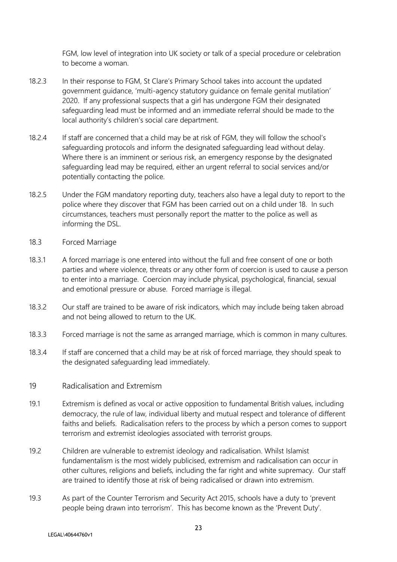FGM, low level of integration into UK society or talk of a special procedure or celebration to become a woman.

- 18.2.3 In their response to FGM, St Clare's Primary School takes into account the updated government guidance, 'multi-agency statutory guidance on female genital mutilation' 2020. If any professional suspects that a girl has undergone FGM their designated safeguarding lead must be informed and an immediate referral should be made to the local authority's children's social care department.
- 18.2.4 If staff are concerned that a child may be at risk of FGM, they will follow the school's safeguarding protocols and inform the designated safeguarding lead without delay. Where there is an imminent or serious risk, an emergency response by the designated safeguarding lead may be required, either an urgent referral to social services and/or potentially contacting the police.
- 18.2.5 Under the FGM mandatory reporting duty, teachers also have a legal duty to report to the police where they discover that FGM has been carried out on a child under 18. In such circumstances, teachers must personally report the matter to the police as well as informing the DSL.
- 18.3 Forced Marriage
- 18.3.1 A forced marriage is one entered into without the full and free consent of one or both parties and where violence, threats or any other form of coercion is used to cause a person to enter into a marriage. Coercion may include physical, psychological, financial, sexual and emotional pressure or abuse. Forced marriage is illegal.
- 18.3.2 Our staff are trained to be aware of risk indicators, which may include being taken abroad and not being allowed to return to the UK.
- 18.3.3 Forced marriage is not the same as arranged marriage, which is common in many cultures.
- 18.3.4 If staff are concerned that a child may be at risk of forced marriage, they should speak to the designated safeguarding lead immediately.
- 19 Radicalisation and Extremism
- 19.1 Extremism is defined as vocal or active opposition to fundamental British values, including democracy, the rule of law, individual liberty and mutual respect and tolerance of different faiths and beliefs. Radicalisation refers to the process by which a person comes to support terrorism and extremist ideologies associated with terrorist groups.
- 19.2 Children are vulnerable to extremist ideology and radicalisation. Whilst Islamist fundamentalism is the most widely publicised, extremism and radicalisation can occur in other cultures, religions and beliefs, including the far right and white supremacy. Our staff are trained to identify those at risk of being radicalised or drawn into extremism.
- 19.3 As part of the Counter Terrorism and Security Act 2015, schools have a duty to 'prevent people being drawn into terrorism'. This has become known as the 'Prevent Duty'.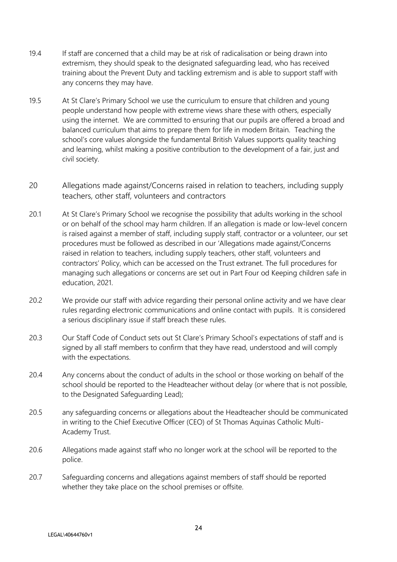- 19.4 If staff are concerned that a child may be at risk of radicalisation or being drawn into extremism, they should speak to the designated safeguarding lead, who has received training about the Prevent Duty and tackling extremism and is able to support staff with any concerns they may have.
- 19.5 At St Clare's Primary School we use the curriculum to ensure that children and young people understand how people with extreme views share these with others, especially using the internet. We are committed to ensuring that our pupils are offered a broad and balanced curriculum that aims to prepare them for life in modern Britain. Teaching the school's core values alongside the fundamental British Values supports quality teaching and learning, whilst making a positive contribution to the development of a fair, just and civil society.
- 20 Allegations made against/Concerns raised in relation to teachers, including supply teachers, other staff, volunteers and contractors
- 20.1 At St Clare's Primary School we recognise the possibility that adults working in the school or on behalf of the school may harm children. If an allegation is made or low-level concern is raised against a member of staff, including supply staff, contractor or a volunteer, our set procedures must be followed as described in our 'Allegations made against/Concerns raised in relation to teachers, including supply teachers, other staff, volunteers and contractors' Policy, which can be accessed on the Trust extranet. The full procedures for managing such allegations or concerns are set out in Part Four od Keeping children safe in education, 2021.
- 20.2 We provide our staff with advice regarding their personal online activity and we have clear rules regarding electronic communications and online contact with pupils. It is considered a serious disciplinary issue if staff breach these rules.
- 20.3 Our Staff Code of Conduct sets out St Clare's Primary School's expectations of staff and is signed by all staff members to confirm that they have read, understood and will comply with the expectations.
- 20.4 Any concerns about the conduct of adults in the school or those working on behalf of the school should be reported to the Headteacher without delay (or where that is not possible, to the Designated Safeguarding Lead);
- 20.5 any safeguarding concerns or allegations about the Headteacher should be communicated in writing to the Chief Executive Officer (CEO) of St Thomas Aquinas Catholic Multi-Academy Trust.
- 20.6 Allegations made against staff who no longer work at the school will be reported to the police.
- 20.7 Safeguarding concerns and allegations against members of staff should be reported whether they take place on the school premises or offsite.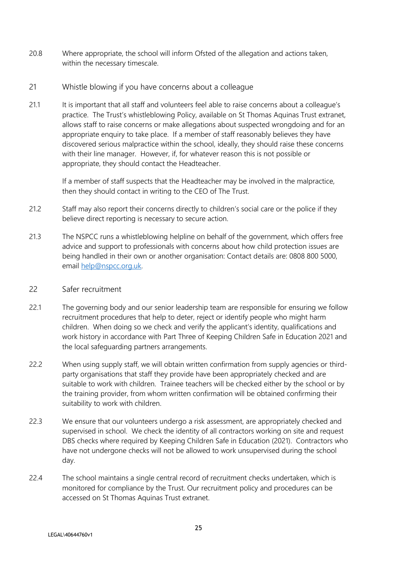- 20.8 Where appropriate, the school will inform Ofsted of the allegation and actions taken, within the necessary timescale.
- 21 Whistle blowing if you have concerns about a colleague
- 21.1 It is important that all staff and volunteers feel able to raise concerns about a colleague's practice. The Trust's whistleblowing Policy, available on St Thomas Aquinas Trust extranet, allows staff to raise concerns or make allegations about suspected wrongdoing and for an appropriate enquiry to take place. If a member of staff reasonably believes they have discovered serious malpractice within the school, ideally, they should raise these concerns with their line manager. However, if, for whatever reason this is not possible or appropriate, they should contact the Headteacher.

If a member of staff suspects that the Headteacher may be involved in the malpractice, then they should contact in writing to the CEO of The Trust.

- 21.2 Staff may also report their concerns directly to children's social care or the police if they believe direct reporting is necessary to secure action.
- 21.3 The NSPCC runs a whistleblowing helpline on behalf of the government, which offers free advice and support to professionals with concerns about how child protection issues are being handled in their own or another organisation: Contact details are: 0808 800 5000, email [help@nspcc.org.uk.](mailto:help@nspcc.org.uk)
- 22 Safer recruitment
- 22.1 The governing body and our senior leadership team are responsible for ensuring we follow recruitment procedures that help to deter, reject or identify people who might harm children. When doing so we check and verify the applicant's identity, qualifications and work history in accordance with Part Three of Keeping Children Safe in Education 2021 and the local safeguarding partners arrangements.
- 22.2 When using supply staff, we will obtain written confirmation from supply agencies or thirdparty organisations that staff they provide have been appropriately checked and are suitable to work with children. Trainee teachers will be checked either by the school or by the training provider, from whom written confirmation will be obtained confirming their suitability to work with children.
- 22.3 We ensure that our volunteers undergo a risk assessment, are appropriately checked and supervised in school. We check the identity of all contractors working on site and request DBS checks where required by Keeping Children Safe in Education (2021). Contractors who have not undergone checks will not be allowed to work unsupervised during the school day.
- 22.4 The school maintains a single central record of recruitment checks undertaken, which is monitored for compliance by the Trust. Our recruitment policy and procedures can be accessed on St Thomas Aquinas Trust extranet.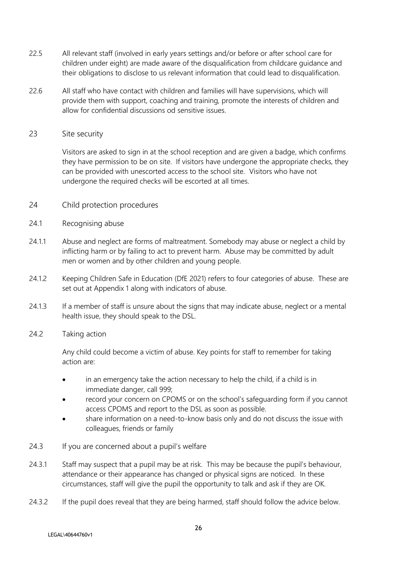- 22.5 All relevant staff (involved in early years settings and/or before or after school care for children under eight) are made aware of the disqualification from childcare guidance and their obligations to disclose to us relevant information that could lead to disqualification.
- 22.6 All staff who have contact with children and families will have supervisions, which will provide them with support, coaching and training, promote the interests of children and allow for confidential discussions od sensitive issues.

## 23 Site security

Visitors are asked to sign in at the school reception and are given a badge, which confirms they have permission to be on site. If visitors have undergone the appropriate checks, they can be provided with unescorted access to the school site. Visitors who have not undergone the required checks will be escorted at all times.

- 24 Child protection procedures
- 24.1 Recognising abuse
- 24.1.1 Abuse and neglect are forms of maltreatment. Somebody may abuse or neglect a child by inflicting harm or by failing to act to prevent harm. Abuse may be committed by adult men or women and by other children and young people.
- 24.1.2 Keeping Children Safe in Education (DfE 2021) refers to four categories of abuse. These are set out at Appendix 1 along with indicators of abuse.
- 24.1.3 If a member of staff is unsure about the signs that may indicate abuse, neglect or a mental health issue, they should speak to the DSL.
- 24.2 Taking action

Any child could become a victim of abuse. Key points for staff to remember for taking action are:

- in an emergency take the action necessary to help the child, if a child is in immediate danger, call 999;
- record your concern on CPOMS or on the school's safeguarding form if you cannot access CPOMS and report to the DSL as soon as possible.
- share information on a need-to-know basis only and do not discuss the issue with colleagues, friends or family
- 24.3 If you are concerned about a pupil's welfare
- 24.3.1 Staff may suspect that a pupil may be at risk. This may be because the pupil's behaviour, attendance or their appearance has changed or physical signs are noticed. In these circumstances, staff will give the pupil the opportunity to talk and ask if they are OK.
- 24.3.2 If the pupil does reveal that they are being harmed, staff should follow the advice below.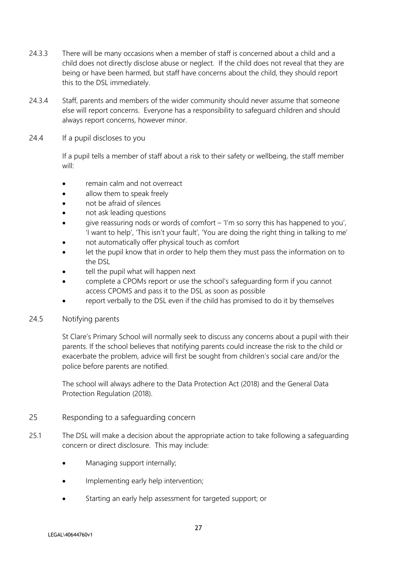- 24.3.3 There will be many occasions when a member of staff is concerned about a child and a child does not directly disclose abuse or neglect. If the child does not reveal that they are being or have been harmed, but staff have concerns about the child, they should report this to the DSL immediately.
- 24.3.4 Staff, parents and members of the wider community should never assume that someone else will report concerns. Everyone has a responsibility to safeguard children and should always report concerns, however minor.
- 24.4 If a pupil discloses to you

If a pupil tells a member of staff about a risk to their safety or wellbeing, the staff member will:

- remain calm and not overreact
- allow them to speak freely
- not be afraid of silences
- not ask leading questions
- give reassuring nods or words of comfort  $-$  'I'm so sorry this has happened to you', 'I want to help', 'This isn't your fault', 'You are doing the right thing in talking to me'
- not automatically offer physical touch as comfort
- let the pupil know that in order to help them they must pass the information on to the DSL
- tell the pupil what will happen next
- complete a CPOMs report or use the school's safeguarding form if you cannot access CPOMS and pass it to the DSL as soon as possible
- report verbally to the DSL even if the child has promised to do it by themselves
- 24.5 Notifying parents

St Clare's Primary School will normally seek to discuss any concerns about a pupil with their parents. If the school believes that notifying parents could increase the risk to the child or exacerbate the problem, advice will first be sought from children's social care and/or the police before parents are notified.

The school will always adhere to the Data Protection Act (2018) and the General Data Protection Regulation (2018).

- 25 Responding to a safeguarding concern
- 25.1 The DSL will make a decision about the appropriate action to take following a safeguarding concern or direct disclosure. This may include:
	- Managing support internally;
	- Implementing early help intervention;
	- Starting an early help assessment for targeted support; or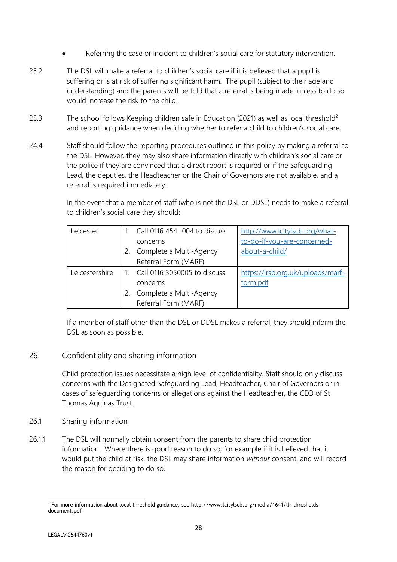- Referring the case or incident to children's social care for statutory intervention.
- 25.2 The DSL will make a referral to children's social care if it is believed that a pupil is suffering or is at risk of suffering significant harm. The pupil (subject to their age and understanding) and the parents will be told that a referral is being made, unless to do so would increase the risk to the child.
- 25.3 The school follows Keeping children safe in Education (2021) as well as local threshold<sup>2</sup> and reporting guidance when deciding whether to refer a child to children's social care.
- 24.4 Staff should follow the reporting procedures outlined in this policy by making a referral to the DSL. However, they may also share information directly with children's social care or the police if they are convinced that a direct report is required or if the Safeguarding Lead, the deputies, the Headteacher or the Chair of Governors are not available, and a referral is required immediately.

In the event that a member of staff (who is not the DSL or DDSL) needs to make a referral to children's social care they should:

| Leicester      | Call 0116 454 1004 to discuss | http://www.lcitylscb.org/what-    |
|----------------|-------------------------------|-----------------------------------|
|                | concerns                      | to-do-if-you-are-concerned-       |
|                | Complete a Multi-Agency       | about-a-child/                    |
|                | Referral Form (MARF)          |                                   |
| Leicestershire | Call 0116 3050005 to discuss  | https://lrsb.org.uk/uploads/marf- |
|                | concerns                      | form.pdf                          |
|                | Complete a Multi-Agency       |                                   |
|                | Referral Form (MARF)          |                                   |

If a member of staff other than the DSL or DDSL makes a referral, they should inform the DSL as soon as possible.

# 26 Confidentiality and sharing information

Child protection issues necessitate a high level of confidentiality. Staff should only discuss concerns with the Designated Safeguarding Lead, Headteacher, Chair of Governors or in cases of safeguarding concerns or allegations against the Headteacher, the CEO of St Thomas Aquinas Trust.

- 26.1 Sharing information
- 26.1.1 The DSL will normally obtain consent from the parents to share child protection information. Where there is good reason to do so, for example if it is believed that it would put the child at risk, the DSL may share information *without* consent, and will record the reason for deciding to do so.

<sup>2</sup> For more information about local threshold guidance, see http://www.lcitylscb.org/media/1641/llr-thresholdsdocument.pdf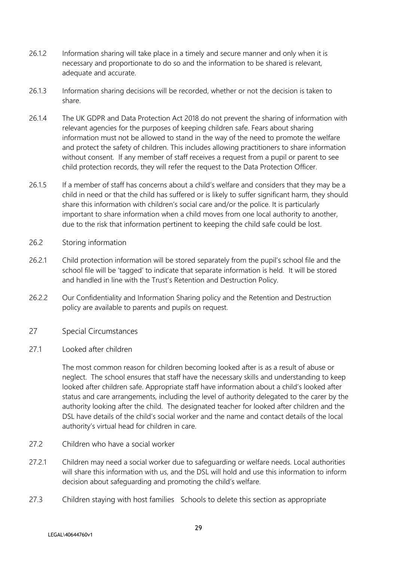- 26.1.2 Information sharing will take place in a timely and secure manner and only when it is necessary and proportionate to do so and the information to be shared is relevant, adequate and accurate.
- 26.1.3 Information sharing decisions will be recorded, whether or not the decision is taken to share.
- 26.1.4 The UK GDPR and Data Protection Act 2018 do not prevent the sharing of information with relevant agencies for the purposes of keeping children safe. Fears about sharing information must not be allowed to stand in the way of the need to promote the welfare and protect the safety of children. This includes allowing practitioners to share information without consent. If any member of staff receives a request from a pupil or parent to see child protection records, they will refer the request to the Data Protection Officer.
- 26.1.5 If a member of staff has concerns about a child's welfare and considers that they may be a child in need or that the child has suffered or is likely to suffer significant harm, they should share this information with children's social care and/or the police. It is particularly important to share information when a child moves from one local authority to another, due to the risk that information pertinent to keeping the child safe could be lost.
- 26.2 Storing information
- 26.2.1 Child protection information will be stored separately from the pupil's school file and the school file will be 'tagged' to indicate that separate information is held. It will be stored and handled in line with the Trust's Retention and Destruction Policy.
- 26.2.2 Our Confidentiality and Information Sharing policy and the Retention and Destruction policy are available to parents and pupils on request.
- 27 Special Circumstances
- 27.1 Looked after children

The most common reason for children becoming looked after is as a result of abuse or neglect. The school ensures that staff have the necessary skills and understanding to keep looked after children safe. Appropriate staff have information about a child's looked after status and care arrangements, including the level of authority delegated to the carer by the authority looking after the child. The designated teacher for looked after children and the DSL have details of the child's social worker and the name and contact details of the local authority's virtual head for children in care.

- 27.2 Children who have a social worker
- 27.2.1 Children may need a social worker due to safeguarding or welfare needs. Local authorities will share this information with us, and the DSL will hold and use this information to inform decision about safeguarding and promoting the child's welfare.
- 27.3 Children staying with host families Schools to delete this section as appropriate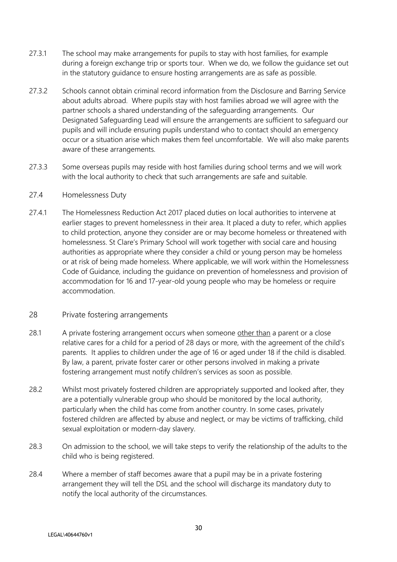- 27.3.1 The school may make arrangements for pupils to stay with host families, for example during a foreign exchange trip or sports tour. When we do, we follow the guidance set out in the statutory guidance to ensure hosting arrangements are as safe as possible.
- 27.3.2 Schools cannot obtain criminal record information from the Disclosure and Barring Service about adults abroad. Where pupils stay with host families abroad we will agree with the partner schools a shared understanding of the safeguarding arrangements. Our Designated Safeguarding Lead will ensure the arrangements are sufficient to safeguard our pupils and will include ensuring pupils understand who to contact should an emergency occur or a situation arise which makes them feel uncomfortable. We will also make parents aware of these arrangements.
- 27.3.3 Some overseas pupils may reside with host families during school terms and we will work with the local authority to check that such arrangements are safe and suitable.

## 27.4 Homelessness Duty

27.4.1 The Homelessness Reduction Act 2017 placed duties on local authorities to intervene at earlier stages to prevent homelessness in their area. It placed a duty to refer, which applies to child protection, anyone they consider are or may become homeless or threatened with homelessness. St Clare's Primary School will work together with social care and housing authorities as appropriate where they consider a child or young person may be homeless or at risk of being made homeless. Where applicable, we will work within the Homelessness Code of Guidance, including the guidance on prevention of homelessness and provision of accommodation for 16 and 17-year-old young people who may be homeless or require accommodation.

# 28 Private fostering arrangements

- 28.1 A private fostering arrangement occurs when someone other than a parent or a close relative cares for a child for a period of 28 days or more, with the agreement of the child's parents. It applies to children under the age of 16 or aged under 18 if the child is disabled. By law, a parent, private foster carer or other persons involved in making a private fostering arrangement must notify children's services as soon as possible.
- 28.2 Whilst most privately fostered children are appropriately supported and looked after, they are a potentially vulnerable group who should be monitored by the local authority, particularly when the child has come from another country. In some cases, privately fostered children are affected by abuse and neglect, or may be victims of trafficking, child sexual exploitation or modern-day slavery.
- 28.3 On admission to the school, we will take steps to verify the relationship of the adults to the child who is being registered.
- 28.4 Where a member of staff becomes aware that a pupil may be in a private fostering arrangement they will tell the DSL and the school will discharge its mandatory duty to notify the local authority of the circumstances.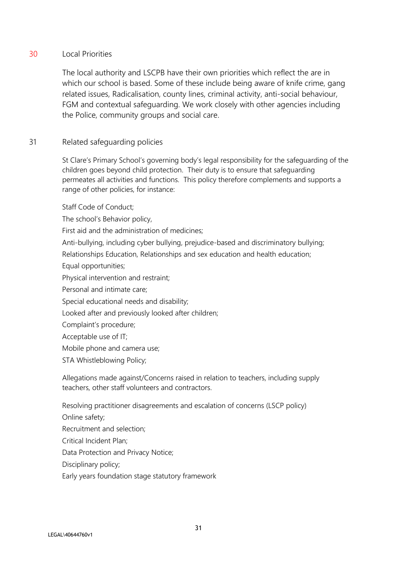# 30 Local Priorities

The local authority and LSCPB have their own priorities which reflect the are in which our school is based. Some of these include being aware of knife crime, gang related issues, Radicalisation, county lines, criminal activity, anti-social behaviour, FGM and contextual safeguarding. We work closely with other agencies including the Police, community groups and social care.

# 31 Related safeguarding policies

St Clare's Primary School's governing body's legal responsibility for the safeguarding of the children goes beyond child protection. Their duty is to ensure that safeguarding permeates all activities and functions. This policy therefore complements and supports a range of other policies, for instance:

Staff Code of Conduct;

The school's Behavior policy,

First aid and the administration of medicines;

Anti-bullying, including cyber bullying, prejudice-based and discriminatory bullying;

Relationships Education, Relationships and sex education and health education;

Equal opportunities;

Physical intervention and restraint;

Personal and intimate care;

Special educational needs and disability;

Looked after and previously looked after children;

Complaint's procedure;

Acceptable use of IT;

Mobile phone and camera use;

STA Whistleblowing Policy;

Allegations made against/Concerns raised in relation to teachers, including supply teachers, other staff volunteers and contractors.

Resolving practitioner disagreements and escalation of concerns (LSCP policy)

Online safety;

Recruitment and selection;

Critical Incident Plan;

Data Protection and Privacy Notice;

Disciplinary policy;

Early years foundation stage statutory framework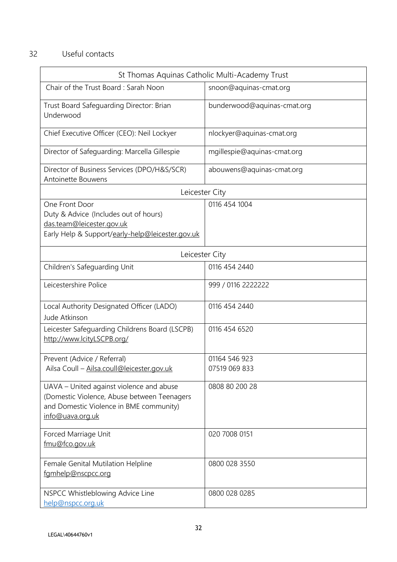# 32 Useful contacts

| St Thomas Aquinas Catholic Multi-Academy Trust                                                                                                         |                             |  |  |  |  |
|--------------------------------------------------------------------------------------------------------------------------------------------------------|-----------------------------|--|--|--|--|
| Chair of the Trust Board: Sarah Noon                                                                                                                   | snoon@aquinas-cmat.org      |  |  |  |  |
| Trust Board Safeguarding Director: Brian<br>Underwood                                                                                                  | bunderwood@aquinas-cmat.org |  |  |  |  |
| Chief Executive Officer (CEO): Neil Lockyer                                                                                                            | nlockyer@aquinas-cmat.org   |  |  |  |  |
| Director of Safeguarding: Marcella Gillespie                                                                                                           | mgillespie@aquinas-cmat.org |  |  |  |  |
| Director of Business Services (DPO/H&S/SCR)<br>Antoinette Bouwens                                                                                      | abouwens@aquinas-cmat.org   |  |  |  |  |
| Leicester City                                                                                                                                         |                             |  |  |  |  |
| One Front Door<br>Duty & Advice (Includes out of hours)<br>das.team@leicester.gov.uk<br>Early Help & Support/early-help@leicester.gov.uk               | 0116 454 1004               |  |  |  |  |
| Leicester City                                                                                                                                         |                             |  |  |  |  |
| Children's Safeguarding Unit                                                                                                                           | 0116 454 2440               |  |  |  |  |
| Leicestershire Police                                                                                                                                  | 999 / 0116 2222222          |  |  |  |  |
| Local Authority Designated Officer (LADO)<br>Jude Atkinson                                                                                             | 0116 454 2440               |  |  |  |  |
| Leicester Safeguarding Childrens Board (LSCPB)<br>http://www.lcityLSCPB.org/                                                                           | 0116 454 6520               |  |  |  |  |
| Prevent (Advice / Referral)                                                                                                                            | 01164 546 923               |  |  |  |  |
| Ailsa Coull - Ailsa.coull@leicester.gov.uk                                                                                                             | 07519 069 833               |  |  |  |  |
| UAVA - United against violence and abuse<br>(Domestic Violence, Abuse between Teenagers<br>and Domestic Violence in BME community)<br>info@uava.org.uk | 0808 80 200 28              |  |  |  |  |
| Forced Marriage Unit<br>fmu@fco.gov.uk                                                                                                                 | 020 7008 0151               |  |  |  |  |
| Female Genital Mutilation Helpline<br>famhelp@nscpcc.org                                                                                               | 0800 028 3550               |  |  |  |  |
| NSPCC Whistleblowing Advice Line<br>help@nspcc.org.uk                                                                                                  | 0800 028 0285               |  |  |  |  |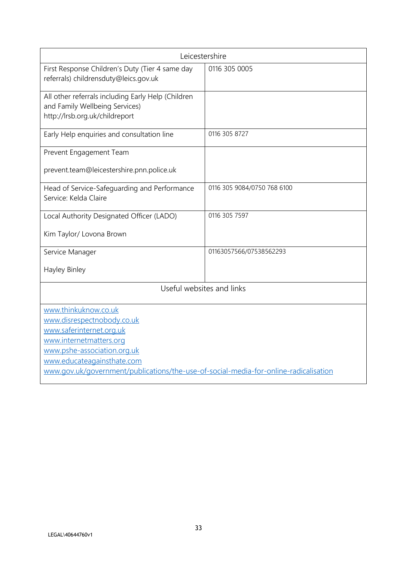| Leicestershire                                                                                                         |                             |  |  |  |
|------------------------------------------------------------------------------------------------------------------------|-----------------------------|--|--|--|
| First Response Children's Duty (Tier 4 same day<br>referrals) childrensduty@leics.gov.uk                               | 0116 305 0005               |  |  |  |
| All other referrals including Early Help (Children<br>and Family Wellbeing Services)<br>http://lrsb.org.uk/childreport |                             |  |  |  |
| Early Help enquiries and consultation line                                                                             | 0116 305 8727               |  |  |  |
| Prevent Engagement Team                                                                                                |                             |  |  |  |
| prevent.team@leicestershire.pnn.police.uk                                                                              |                             |  |  |  |
| Head of Service-Safeguarding and Performance<br>Service: Kelda Claire                                                  | 0116 305 9084/0750 768 6100 |  |  |  |
| Local Authority Designated Officer (LADO)                                                                              | 0116 305 7597               |  |  |  |
| Kim Taylor/ Lovona Brown                                                                                               |                             |  |  |  |
| Service Manager                                                                                                        | 01163057566/07538562293     |  |  |  |
| Hayley Binley                                                                                                          |                             |  |  |  |
| Useful websites and links                                                                                              |                             |  |  |  |
| www.thinkuknow.co.uk                                                                                                   |                             |  |  |  |
| www.disrespectnobody.co.uk                                                                                             |                             |  |  |  |
| www.saferinternet.org.uk                                                                                               |                             |  |  |  |
| www.internetmatters.org                                                                                                |                             |  |  |  |
| www.pshe-association.org.uk                                                                                            |                             |  |  |  |
| www.educateagainsthate.com                                                                                             |                             |  |  |  |
| www.gov.uk/government/publications/the-use-of-social-media-for-online-radicalisation                                   |                             |  |  |  |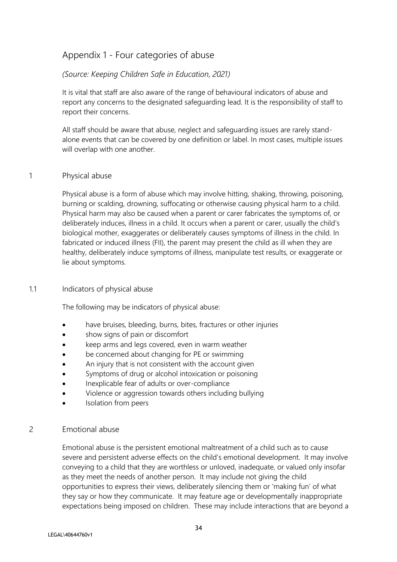# Appendix 1 - Four categories of abuse

## *(Source: Keeping Children Safe in Education, 2021)*

It is vital that staff are also aware of the range of behavioural indicators of abuse and report any concerns to the designated safeguarding lead. It is the responsibility of staff to report their concerns.

All staff should be aware that abuse, neglect and safeguarding issues are rarely standalone events that can be covered by one definition or label. In most cases, multiple issues will overlap with one another.

## 1 Physical abuse

Physical abuse is a form of abuse which may involve hitting, shaking, throwing, poisoning, burning or scalding, drowning, suffocating or otherwise causing physical harm to a child. Physical harm may also be caused when a parent or carer fabricates the symptoms of, or deliberately induces, illness in a child. It occurs when a parent or carer, usually the child's biological mother, exaggerates or deliberately causes symptoms of illness in the child. In fabricated or induced illness (FII), the parent may present the child as ill when they are healthy, deliberately induce symptoms of illness, manipulate test results, or exaggerate or lie about symptoms.

## 1.1 Indicators of physical abuse

The following may be indicators of physical abuse:

- have bruises, bleeding, burns, bites, fractures or other injuries
- show signs of pain or discomfort
- keep arms and legs covered, even in warm weather
- be concerned about changing for PE or swimming
- An injury that is not consistent with the account given
- Symptoms of drug or alcohol intoxication or poisoning
- Inexplicable fear of adults or over-compliance
- Violence or aggression towards others including bullying
- Isolation from peers

# 2 Emotional abuse

Emotional abuse is the persistent emotional maltreatment of a child such as to cause severe and persistent adverse effects on the child's emotional development. It may involve conveying to a child that they are worthless or unloved, inadequate, or valued only insofar as they meet the needs of another person. It may include not giving the child opportunities to express their views, deliberately silencing them or 'making fun' of what they say or how they communicate. It may feature age or developmentally inappropriate expectations being imposed on children. These may include interactions that are beyond a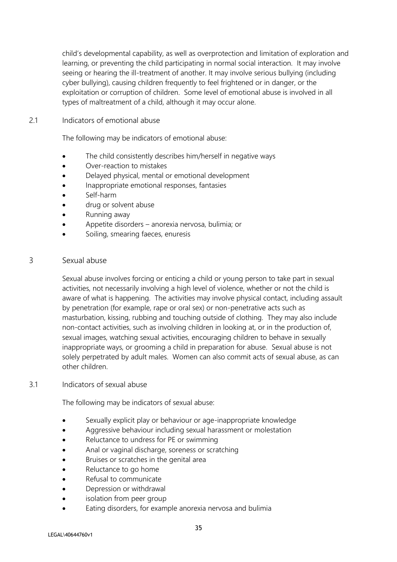child's developmental capability, as well as overprotection and limitation of exploration and learning, or preventing the child participating in normal social interaction. It may involve seeing or hearing the ill-treatment of another. It may involve serious bullying (including cyber bullying), causing children frequently to feel frightened or in danger, or the exploitation or corruption of children. Some level of emotional abuse is involved in all types of maltreatment of a child, although it may occur alone.

## 2.1 Indicators of emotional abuse

The following may be indicators of emotional abuse:

- The child consistently describes him/herself in negative ways
- Over-reaction to mistakes
- Delayed physical, mental or emotional development
- Inappropriate emotional responses, fantasies
- Self-harm
- drug or solvent abuse
- Running away
- Appetite disorders anorexia nervosa, bulimia; or
- Soiling, smearing faeces, enuresis

# 3 Sexual abuse

Sexual abuse involves forcing or enticing a child or young person to take part in sexual activities, not necessarily involving a high level of violence, whether or not the child is aware of what is happening. The activities may involve physical contact, including assault by penetration (for example, rape or oral sex) or non-penetrative acts such as masturbation, kissing, rubbing and touching outside of clothing. They may also include non-contact activities, such as involving children in looking at, or in the production of, sexual images, watching sexual activities, encouraging children to behave in sexually inappropriate ways, or grooming a child in preparation for abuse. Sexual abuse is not solely perpetrated by adult males. Women can also commit acts of sexual abuse, as can other children.

## 3.1 Indicators of sexual abuse

The following may be indicators of sexual abuse:

- Sexually explicit play or behaviour or age-inappropriate knowledge
- Aggressive behaviour including sexual harassment or molestation
- Reluctance to undress for PE or swimming
- Anal or vaginal discharge, soreness or scratching
- Bruises or scratches in the genital area
- Reluctance to go home
- Refusal to communicate
- Depression or withdrawal
- isolation from peer group
- Eating disorders, for example anorexia nervosa and bulimia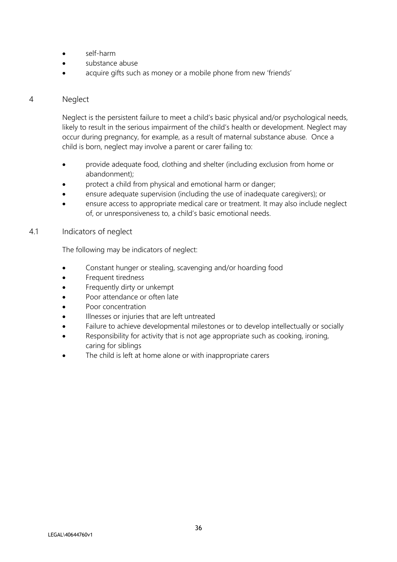- self-harm
- substance abuse
- acquire gifts such as money or a mobile phone from new 'friends'

## 4 Neglect

Neglect is the persistent failure to meet a child's basic physical and/or psychological needs, likely to result in the serious impairment of the child's health or development. Neglect may occur during pregnancy, for example, as a result of maternal substance abuse. Once a child is born, neglect may involve a parent or carer failing to:

- provide adequate food, clothing and shelter (including exclusion from home or abandonment);
- protect a child from physical and emotional harm or danger;
- ensure adequate supervision (including the use of inadequate caregivers); or
- ensure access to appropriate medical care or treatment. It may also include neglect of, or unresponsiveness to, a child's basic emotional needs.

## 4.1 Indicators of neglect

The following may be indicators of neglect:

- Constant hunger or stealing, scavenging and/or hoarding food
- Frequent tiredness
- Frequently dirty or unkempt
- Poor attendance or often late
- Poor concentration
- Illnesses or injuries that are left untreated
- Failure to achieve developmental milestones or to develop intellectually or socially
- Responsibility for activity that is not age appropriate such as cooking, ironing, caring for siblings
- The child is left at home alone or with inappropriate carers